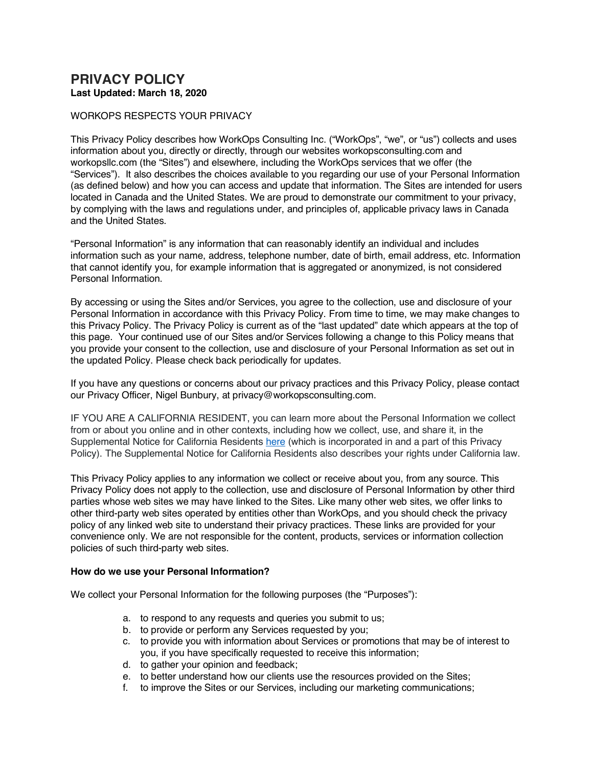# <span id="page-0-0"></span>**PRIVACY POLICY Last Updated: March 18, 2020**

### WORKOPS RESPECTS YOUR PRIVACY

This Privacy Policy describes how WorkOps Consulting Inc. ("WorkOps", "we", or "us") collects and uses information about you, directly or directly, through our websites workopsconsulting.com and workopsllc.com (the "Sites") and elsewhere, including the WorkOps services that we offer (the "Services"). It also describes the choices available to you regarding our use of your Personal Information (as defined below) and how you can access and update that information. The Sites are intended for users located in Canada and the United States. We are proud to demonstrate our commitment to your privacy, by complying with the laws and regulations under, and principles of, applicable privacy laws in Canada and the United States.

"Personal Information" is any information that can reasonably identify an individual and includes information such as your name, address, telephone number, date of birth, email address, etc. Information that cannot identify you, for example information that is aggregated or anonymized, is not considered Personal Information.

By accessing or using the Sites and/or Services, you agree to the collection, use and disclosure of your Personal Information in accordance with this Privacy Policy. From time to time, we may make changes to this Privacy Policy. The Privacy Policy is current as of the "last updated" date which appears at the top of this page. Your continued use of our Sites and/or Services following a change to this Policy means that you provide your consent to the collection, use and disclosure of your Personal Information as set out in the updated Policy. Please check back periodically for updates.

If you have any questions or concerns about our privacy practices and this Privacy Policy, please contact our Privacy Officer, Nigel Bunbury, at privacy@workopsconsulting.com.

IF YOU ARE A CALIFORNIA RESIDENT, you can learn more about the Personal Information we collect from or about you online and in other contexts, including how we collect, use, and share it, in the Supplemental Notice for California Residents [here](#page-6-0) (which is incorporated in and a part of this Privacy Policy). The Supplemental Notice for California Residents also describes your rights under California law.

This Privacy Policy applies to any information we collect or receive about you, from any source. This Privacy Policy does not apply to the collection, use and disclosure of Personal Information by other third parties whose web sites we may have linked to the Sites. Like many other web sites, we offer links to other third-party web sites operated by entities other than WorkOps, and you should check the privacy policy of any linked web site to understand their privacy practices. These links are provided for your convenience only. We are not responsible for the content, products, services or information collection policies of such third-party web sites.

#### **How do we use your Personal Information?**

We collect your Personal Information for the following purposes (the "Purposes"):

- a. to respond to any requests and queries you submit to us;
- b. to provide or perform any Services requested by you;
- c. to provide you with information about Services or promotions that may be of interest to you, if you have specifically requested to receive this information;
- d. to gather your opinion and feedback;
- e. to better understand how our clients use the resources provided on the Sites;
- f. to improve the Sites or our Services, including our marketing communications;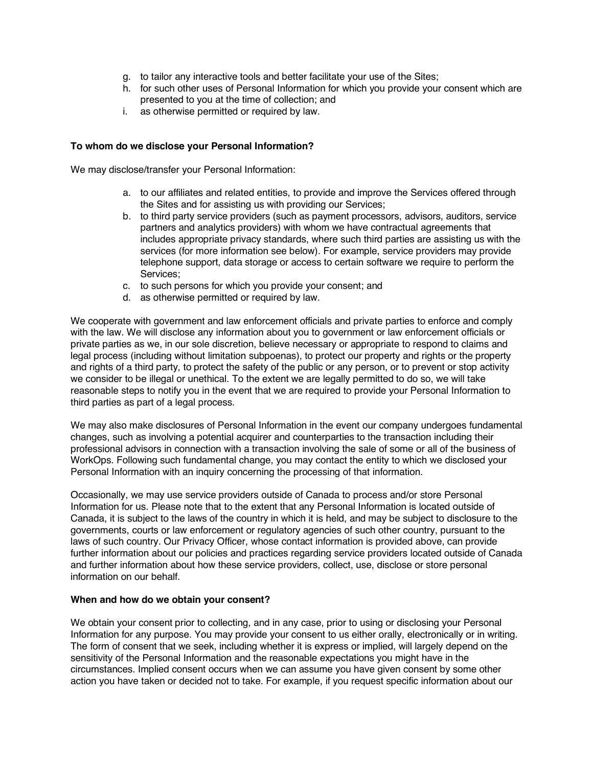- g. to tailor any interactive tools and better facilitate your use of the Sites;
- h. for such other uses of Personal Information for which you provide your consent which are presented to you at the time of collection; and
- i. as otherwise permitted or required by law.

# **To whom do we disclose your Personal Information?**

We may disclose/transfer your Personal Information:

- a. to our affiliates and related entities, to provide and improve the Services offered through the Sites and for assisting us with providing our Services;
- b. to third party service providers (such as payment processors, advisors, auditors, service partners and analytics providers) with whom we have contractual agreements that includes appropriate privacy standards, where such third parties are assisting us with the services (for more information see below). For example, service providers may provide telephone support, data storage or access to certain software we require to perform the Services;
- c. to such persons for which you provide your consent; and
- d. as otherwise permitted or required by law.

We cooperate with government and law enforcement officials and private parties to enforce and comply with the law. We will disclose any information about you to government or law enforcement officials or private parties as we, in our sole discretion, believe necessary or appropriate to respond to claims and legal process (including without limitation subpoenas), to protect our property and rights or the property and rights of a third party, to protect the safety of the public or any person, or to prevent or stop activity we consider to be illegal or unethical. To the extent we are legally permitted to do so, we will take reasonable steps to notify you in the event that we are required to provide your Personal Information to third parties as part of a legal process.

We may also make disclosures of Personal Information in the event our company undergoes fundamental changes, such as involving a potential acquirer and counterparties to the transaction including their professional advisors in connection with a transaction involving the sale of some or all of the business of WorkOps. Following such fundamental change, you may contact the entity to which we disclosed your Personal Information with an inquiry concerning the processing of that information.

Occasionally, we may use service providers outside of Canada to process and/or store Personal Information for us. Please note that to the extent that any Personal Information is located outside of Canada, it is subject to the laws of the country in which it is held, and may be subject to disclosure to the governments, courts or law enforcement or regulatory agencies of such other country, pursuant to the laws of such country. Our Privacy Officer, whose contact information is provided above, can provide further information about our policies and practices regarding service providers located outside of Canada and further information about how these service providers, collect, use, disclose or store personal information on our behalf.

#### **When and how do we obtain your consent?**

We obtain your consent prior to collecting, and in any case, prior to using or disclosing your Personal Information for any purpose. You may provide your consent to us either orally, electronically or in writing. The form of consent that we seek, including whether it is express or implied, will largely depend on the sensitivity of the Personal Information and the reasonable expectations you might have in the circumstances. Implied consent occurs when we can assume you have given consent by some other action you have taken or decided not to take. For example, if you request specific information about our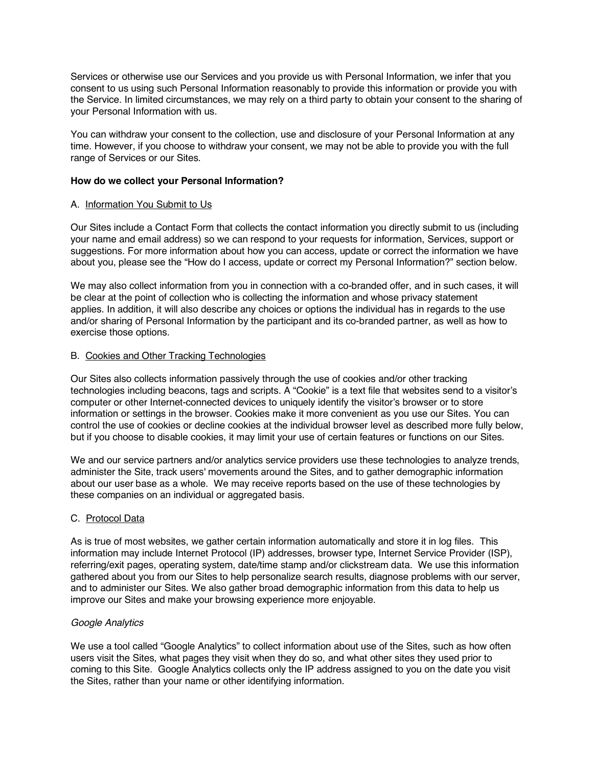Services or otherwise use our Services and you provide us with Personal Information, we infer that you consent to us using such Personal Information reasonably to provide this information or provide you with the Service. In limited circumstances, we may rely on a third party to obtain your consent to the sharing of your Personal Information with us.

You can withdraw your consent to the collection, use and disclosure of your Personal Information at any time. However, if you choose to withdraw your consent, we may not be able to provide you with the full range of Services or our Sites.

### **How do we collect your Personal Information?**

#### A. Information You Submit to Us

Our Sites include a Contact Form that collects the contact information you directly submit to us (including your name and email address) so we can respond to your requests for information, Services, support or suggestions. For more information about how you can access, update or correct the information we have about you, please see the "How do I access, update or correct my Personal Information?" section below.

We may also collect information from you in connection with a co-branded offer, and in such cases, it will be clear at the point of collection who is collecting the information and whose privacy statement applies. In addition, it will also describe any choices or options the individual has in regards to the use and/or sharing of Personal Information by the participant and its co-branded partner, as well as how to exercise those options.

# B. Cookies and Other Tracking Technologies

Our Sites also collects information passively through the use of cookies and/or other tracking technologies including beacons, tags and scripts. A "Cookie" is a text file that websites send to a visitor's computer or other Internet-connected devices to uniquely identify the visitor's browser or to store information or settings in the browser. Cookies make it more convenient as you use our Sites. You can control the use of cookies or decline cookies at the individual browser level as described more fully below, but if you choose to disable cookies, it may limit your use of certain features or functions on our Sites.

We and our service partners and/or analytics service providers use these technologies to analyze trends, administer the Site, track users' movements around the Sites, and to gather demographic information about our user base as a whole. We may receive reports based on the use of these technologies by these companies on an individual or aggregated basis.

# C. Protocol Data

As is true of most websites, we gather certain information automatically and store it in log files. This information may include Internet Protocol (IP) addresses, browser type, Internet Service Provider (ISP), referring/exit pages, operating system, date/time stamp and/or clickstream data. We use this information gathered about you from our Sites to help personalize search results, diagnose problems with our server, and to administer our Sites. We also gather broad demographic information from this data to help us improve our Sites and make your browsing experience more enjoyable.

#### *Google Analytics*

We use a tool called "Google Analytics" to collect information about use of the Sites, such as how often users visit the Sites, what pages they visit when they do so, and what other sites they used prior to coming to this Site. Google Analytics collects only the IP address assigned to you on the date you visit the Sites, rather than your name or other identifying information.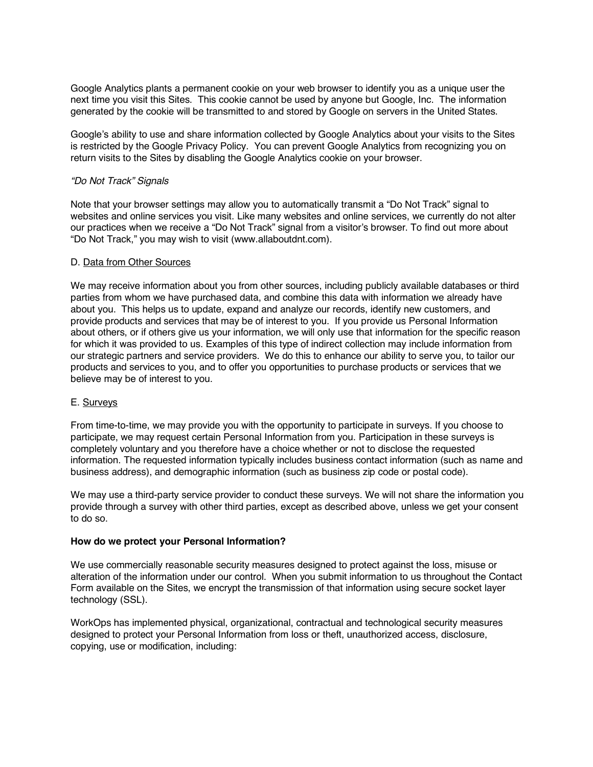Google Analytics plants a permanent cookie on your web browser to identify you as a unique user the next time you visit this Sites. This cookie cannot be used by anyone but Google, Inc. The information generated by the cookie will be transmitted to and stored by Google on servers in the United States.

Google's ability to use and share information collected by Google Analytics about your visits to the Sites is restricted by the Google Privacy Policy. You can prevent Google Analytics from recognizing you on return visits to the Sites by disabling the Google Analytics cookie on your browser.

# *"Do Not Track" Signals*

Note that your browser settings may allow you to automatically transmit a "Do Not Track" signal to websites and online services you visit. Like many websites and online services, we currently do not alter our practices when we receive a "Do Not Track" signal from a visitor's browser. To find out more about "Do Not Track," you may wish to visit (www.allaboutdnt.com).

# D. Data from Other Sources

We may receive information about you from other sources, including publicly available databases or third parties from whom we have purchased data, and combine this data with information we already have about you. This helps us to update, expand and analyze our records, identify new customers, and provide products and services that may be of interest to you. If you provide us Personal Information about others, or if others give us your information, we will only use that information for the specific reason for which it was provided to us. Examples of this type of indirect collection may include information from our strategic partners and service providers. We do this to enhance our ability to serve you, to tailor our products and services to you, and to offer you opportunities to purchase products or services that we believe may be of interest to you.

#### E. Surveys

From time-to-time, we may provide you with the opportunity to participate in surveys. If you choose to participate, we may request certain Personal Information from you. Participation in these surveys is completely voluntary and you therefore have a choice whether or not to disclose the requested information. The requested information typically includes business contact information (such as name and business address), and demographic information (such as business zip code or postal code).

We may use a third-party service provider to conduct these surveys. We will not share the information you provide through a survey with other third parties, except as described above, unless we get your consent to do so.

#### **How do we protect your Personal Information?**

We use commercially reasonable security measures designed to protect against the loss, misuse or alteration of the information under our control. When you submit information to us throughout the Contact Form available on the Sites, we encrypt the transmission of that information using secure socket layer technology (SSL).

WorkOps has implemented physical, organizational, contractual and technological security measures designed to protect your Personal Information from loss or theft, unauthorized access, disclosure, copying, use or modification, including: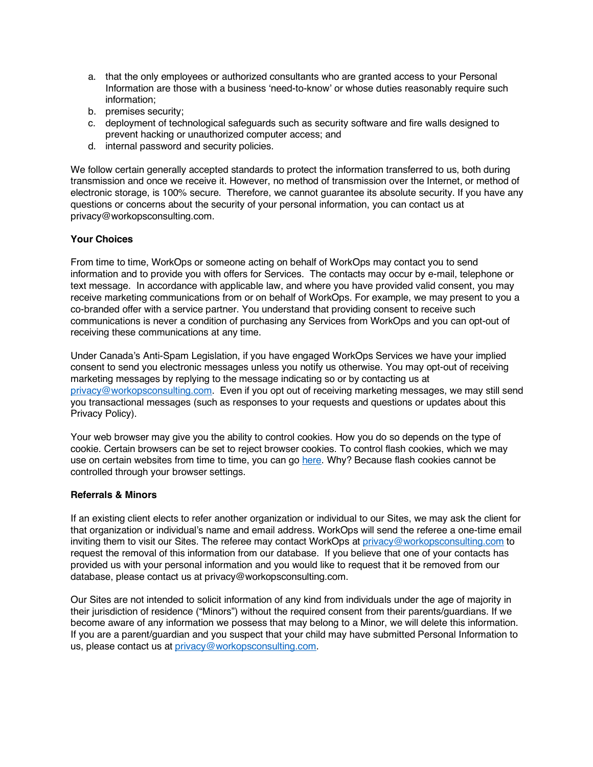- a. that the only employees or authorized consultants who are granted access to your Personal Information are those with a business 'need-to-know' or whose duties reasonably require such information;
- b. premises security;
- c. deployment of technological safeguards such as security software and fire walls designed to prevent hacking or unauthorized computer access; and
- d. internal password and security policies.

We follow certain generally accepted standards to protect the information transferred to us, both during transmission and once we receive it. However, no method of transmission over the Internet, or method of electronic storage, is 100% secure. Therefore, we cannot guarantee its absolute security. If you have any questions or concerns about the security of your personal information, you can contact us at privacy@workopsconsulting.com.

# **Your Choices**

From time to time, WorkOps or someone acting on behalf of WorkOps may contact you to send information and to provide you with offers for Services. The contacts may occur by e-mail, telephone or text message. In accordance with applicable law, and where you have provided valid consent, you may receive marketing communications from or on behalf of WorkOps. For example, we may present to you a co-branded offer with a service partner. You understand that providing consent to receive such communications is never a condition of purchasing any Services from WorkOps and you can opt-out of receiving these communications at any time.

Under Canada's Anti-Spam Legislation, if you have engaged WorkOps Services we have your implied consent to send you electronic messages unless you notify us otherwise. You may opt-out of receiving marketing messages by replying to the message indicating so or by contacting us at privacy@workopsconsulting.com. Even if you opt out of receiving marketing messages, we may still send you transactional messages (such as responses to your requests and questions or updates about this Privacy Policy).

Your web browser may give you the ability to control cookies. How you do so depends on the type of cookie. Certain browsers can be set to reject browser cookies. To control flash cookies, which we may use on certain websites from time to time, you can go [here.](http://www.macromedia.com/support/documentation/en/flashplayer/help/settings_manager07.html) Why? Because flash cookies cannot be controlled through your browser settings.

# **Referrals & Minors**

If an existing client elects to refer another organization or individual to our Sites, we may ask the client for that organization or individual's name and email address. WorkOps will send the referee a one-time email inviting them to visit our Sites. The referee may contact WorkOps at privacy@workopsconsulting.com to request the removal of this information from our database. If you believe that one of your contacts has provided us with your personal information and you would like to request that it be removed from our database, please contact us at privacy@workopsconsulting.com.

Our Sites are not intended to solicit information of any kind from individuals under the age of majority in their jurisdiction of residence ("Minors") without the required consent from their parents/guardians. If we become aware of any information we possess that may belong to a Minor, we will delete this information. If you are a parent/guardian and you suspect that your child may have submitted Personal Information to us, please contact us at privacy@workopsconsulting.com.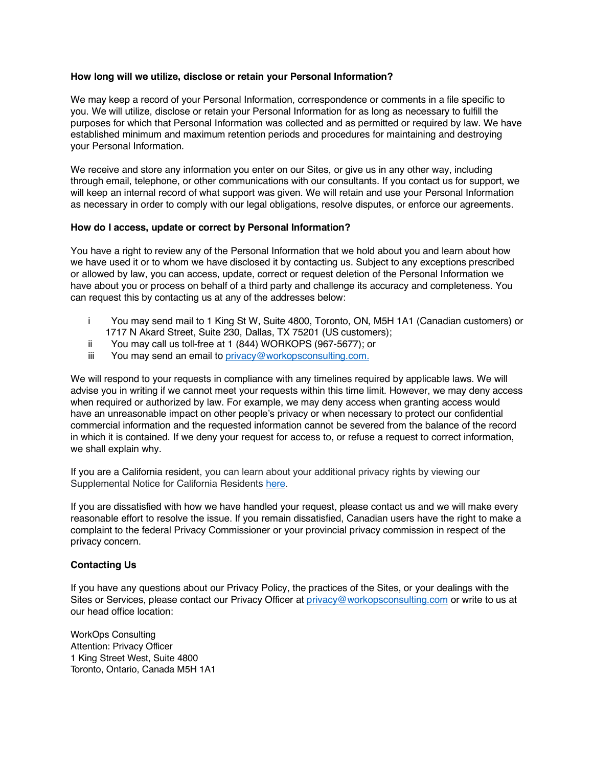#### **How long will we utilize, disclose or retain your Personal Information?**

We may keep a record of your Personal Information, correspondence or comments in a file specific to you. We will utilize, disclose or retain your Personal Information for as long as necessary to fulfill the purposes for which that Personal Information was collected and as permitted or required by law. We have established minimum and maximum retention periods and procedures for maintaining and destroying your Personal Information.

We receive and store any information you enter on our Sites, or give us in any other way, including through email, telephone, or other communications with our consultants. If you contact us for support, we will keep an internal record of what support was given. We will retain and use your Personal Information as necessary in order to comply with our legal obligations, resolve disputes, or enforce our agreements.

# **How do I access, update or correct by Personal Information?**

You have a right to review any of the Personal Information that we hold about you and learn about how we have used it or to whom we have disclosed it by contacting us. Subject to any exceptions prescribed or allowed by law, you can access, update, correct or request deletion of the Personal Information we have about you or process on behalf of a third party and challenge its accuracy and completeness. You can request this by contacting us at any of the addresses below:

- i You may send mail to 1 King St W, Suite 4800, Toronto, ON, M5H 1A1 (Canadian customers) or 1717 N Akard Street, Suite 230, Dallas, TX 75201 (US customers);
- ii You may call us toll-free at 1 (844) WORKOPS (967-5677); or
- iii You may send an email to privacy@workopsconsulting.com.

We will respond to your requests in compliance with any timelines required by applicable laws. We will advise you in writing if we cannot meet your requests within this time limit. However, we may deny access when required or authorized by law. For example, we may deny access when granting access would have an unreasonable impact on other people's privacy or when necessary to protect our confidential commercial information and the requested information cannot be severed from the balance of the record in which it is contained. If we deny your request for access to, or refuse a request to correct information, we shall explain why.

If you are a California resident, you can learn about your additional privacy rights by viewing our Supplemental Notice for California Residents [here.](#page-6-0)

If you are dissatisfied with how we have handled your request, please contact us and we will make every reasonable effort to resolve the issue. If you remain dissatisfied, Canadian users have the right to make a complaint to the federal Privacy Commissioner or your provincial privacy commission in respect of the privacy concern.

# **Contacting Us**

If you have any questions about our Privacy Policy, the practices of the Sites, or your dealings with the Sites or Services, please contact our Privacy Officer at privacy@workopsconsulting.com or write to us at our head office location:

WorkOps Consulting Attention: Privacy Officer 1 King Street West, Suite 4800 Toronto, Ontario, Canada M5H 1A1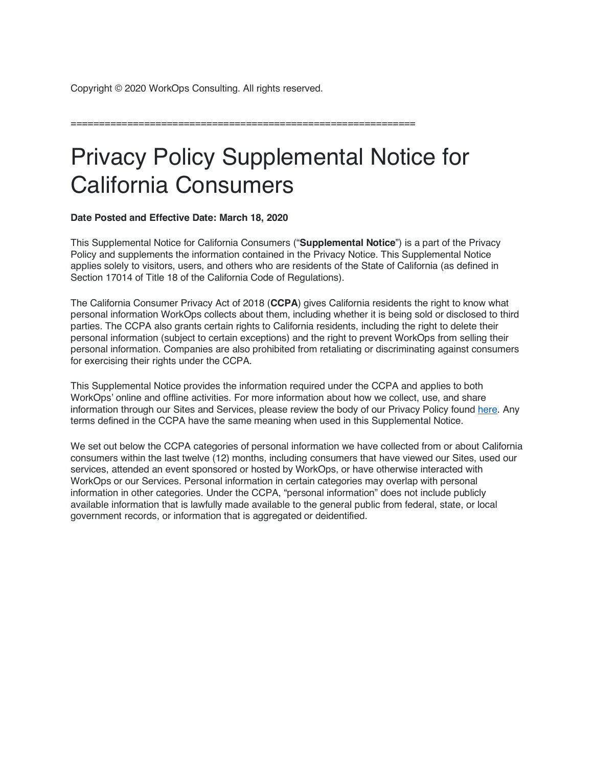<span id="page-6-0"></span>Copyright © 2020 WorkOps Consulting. All rights reserved.

=============================================================

# Privacy Policy Supplemental Notice for California Consumers

**Date Posted and Effective Date: March 18, 2020**

This Supplemental Notice for California Consumers ("**Supplemental Notice**") is a part of the Privacy Policy and supplements the information contained in the Privacy Notice. This Supplemental Notice applies solely to visitors, users, and others who are residents of the State of California (as defined in Section 17014 of Title 18 of the California Code of Regulations).

The California Consumer Privacy Act of 2018 (**CCPA**) gives California residents the right to know what personal information WorkOps collects about them, including whether it is being sold or disclosed to third parties. The CCPA also grants certain rights to California residents, including the right to delete their personal information (subject to certain exceptions) and the right to prevent WorkOps from selling their personal information. Companies are also prohibited from retaliating or discriminating against consumers for exercising their rights under the CCPA.

This Supplemental Notice provides the information required under the CCPA and applies to both WorkOps' online and offline activities. For more information about how we collect, use, and share information through our Sites and Services, please review the body of our Privacy Policy found [here.](#page-0-0) Any terms defined in the CCPA have the same meaning when used in this Supplemental Notice.

We set out below the CCPA categories of personal information we have collected from or about California consumers within the last twelve (12) months, including consumers that have viewed our Sites, used our services, attended an event sponsored or hosted by WorkOps, or have otherwise interacted with WorkOps or our Services. Personal information in certain categories may overlap with personal information in other categories. Under the CCPA, "personal information" does not include publicly available information that is lawfully made available to the general public from federal, state, or local government records, or information that is aggregated or deidentified.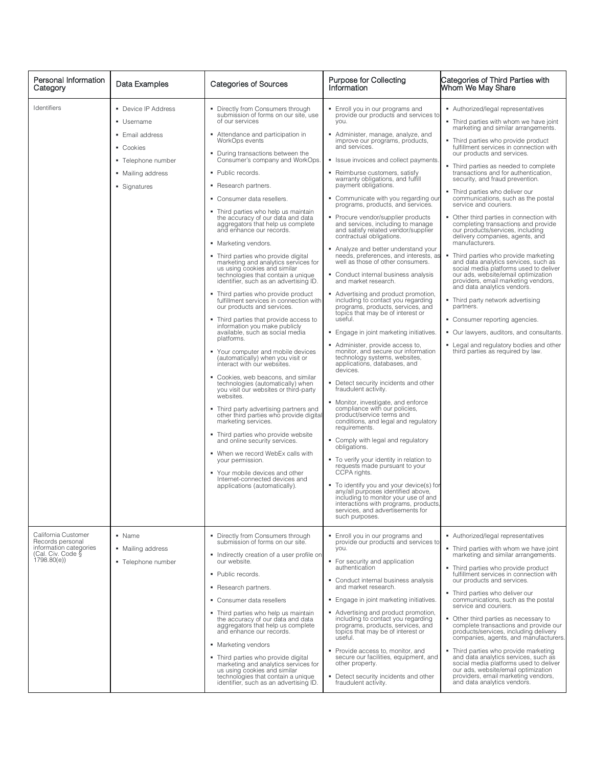| Personal Information<br>Category                                                                     | Data Examples                                                                                                                | <b>Categories of Sources</b>                                                                                                                                                                                                                                                                                                                                                                                                                                                                                                                                                                                                                                                                                                                                                                                                                                                                                                                                                                                                                                                                                                                                                                                                                                                                                                                                                                                                                                                                               | Purpose for Collecting<br>Information                                                                                                                                                                                                                                                                                                                                                                                                                                                                                                                                                                                                                                                                                                                                                                                                                                                                                                                                                                                                                                                                                                                                                                                                                                                                                                                                                                                                                                                                                                                                                                                                                                                                          | Categories of Third Parties with<br>Whom We May Share                                                                                                                                                                                                                                                                                                                                                                                                                                                                                                                                                                                                                                                                                                                                                                                                                                                                                                                                                                                                                                           |
|------------------------------------------------------------------------------------------------------|------------------------------------------------------------------------------------------------------------------------------|------------------------------------------------------------------------------------------------------------------------------------------------------------------------------------------------------------------------------------------------------------------------------------------------------------------------------------------------------------------------------------------------------------------------------------------------------------------------------------------------------------------------------------------------------------------------------------------------------------------------------------------------------------------------------------------------------------------------------------------------------------------------------------------------------------------------------------------------------------------------------------------------------------------------------------------------------------------------------------------------------------------------------------------------------------------------------------------------------------------------------------------------------------------------------------------------------------------------------------------------------------------------------------------------------------------------------------------------------------------------------------------------------------------------------------------------------------------------------------------------------------|----------------------------------------------------------------------------------------------------------------------------------------------------------------------------------------------------------------------------------------------------------------------------------------------------------------------------------------------------------------------------------------------------------------------------------------------------------------------------------------------------------------------------------------------------------------------------------------------------------------------------------------------------------------------------------------------------------------------------------------------------------------------------------------------------------------------------------------------------------------------------------------------------------------------------------------------------------------------------------------------------------------------------------------------------------------------------------------------------------------------------------------------------------------------------------------------------------------------------------------------------------------------------------------------------------------------------------------------------------------------------------------------------------------------------------------------------------------------------------------------------------------------------------------------------------------------------------------------------------------------------------------------------------------------------------------------------------------|-------------------------------------------------------------------------------------------------------------------------------------------------------------------------------------------------------------------------------------------------------------------------------------------------------------------------------------------------------------------------------------------------------------------------------------------------------------------------------------------------------------------------------------------------------------------------------------------------------------------------------------------------------------------------------------------------------------------------------------------------------------------------------------------------------------------------------------------------------------------------------------------------------------------------------------------------------------------------------------------------------------------------------------------------------------------------------------------------|
| Identifiers                                                                                          | • Device IP Address<br>• Username<br>■ Email address<br>• Cookies<br>• Telephone number<br>• Mailing address<br>• Signatures | Directly from Consumers through<br>submission of forms on our site, use<br>of our services<br>Attendance and participation in<br>WorkOps events<br>During transactions between the<br>Consumer's company and WorkOps.<br>Public records.<br>• Research partners.<br>• Consumer data resellers.<br>• Third parties who help us maintain<br>the accuracy of our data and data<br>aggregators that help us complete<br>and enhance our records.<br>• Marketing vendors.<br>• Third parties who provide digital<br>marketing and analytics services for<br>us using cookies and similar<br>technologies that contain a unique<br>identifier, such as an advertising ID.<br>Third parties who provide product<br>fulfillment services in connection with<br>our products and services.<br>• Third parties that provide access to<br>information you make publicly<br>available, such as social media<br>platforms.<br>Your computer and mobile devices<br>(automatically) when you visit or<br>interact with our websites.<br>• Cookies, web beacons, and similar<br>technologies (automatically) when<br>you visit our websites or third-party<br>websites.<br>• Third party advertising partners and<br>other third parties who provide digital<br>marketing services.<br>• Third parties who provide website<br>and online security services.<br>• When we record WebEx calls with<br>your permission.<br>• Your mobile devices and other<br>Internet-connected devices and<br>applications (automatically). | • Enroll you in our programs and<br>provide our products and services to<br>you.<br>• Administer, manage, analyze, and<br>improve our programs, products,<br>and services.<br>• Issue invoices and collect payments.<br>• Reimburse customers, satisfy<br>warranty obligations, and fulfill<br>payment obligations.<br>• Communicate with you regarding our<br>programs, products, and services.<br>• Procure vendor/supplier products<br>and services, including to manage<br>and satisfy related vendor/supplier<br>contractual obligations.<br>Analyze and better understand your<br>needs, preferences, and interests, as<br>well as those of other consumers.<br>• Conduct internal business analysis<br>and market research.<br>• Advertising and product promotion,<br>including to contact you regarding<br>programs, products, services, and<br>topics that may be of interest or<br>useful.<br>• Engage in joint marketing initiatives.<br>Administer, provide access to,<br>monitor, and secure our information<br>technology systems, websites,<br>applications, databases, and<br>devices.<br>Detect security incidents and other<br>fraudulent activity.<br>• Monitor, investigate, and enforce<br>compliance with our policies,<br>product/service terms and<br>conditions, and legal and regulatory<br>requirements.<br>Comply with legal and regulatory<br>obligations.<br>" To verify your identity in relation to<br>requests made pursuant to your<br>CCPA rights.<br>■ To identify you and your device(s) for<br>any/all purposes identified above,<br>including to monitor your use of and<br>interactions with programs, products<br>services, and advertisements for<br>such purposes. | • Authorized/legal representatives<br>. Third parties with whom we have joint<br>marketing and similar arrangements.<br>• Third parties who provide product<br>fulfillment services in connection with<br>our products and services.<br>• Third parties as needed to complete<br>transactions and for authentication,<br>security, and fraud prevention.<br>. Third parties who deliver our<br>communications, such as the postal<br>service and couriers.<br>• Other third parties in connection with<br>completing transactions and provide<br>our products/services, including<br>delivery companies, agents, and<br>manufacturers.<br>• Third parties who provide marketing<br>and data analytics services, such as<br>social media platforms used to deliver<br>our ads, website/email optimization<br>providers, email marketing vendors,<br>and data analytics vendors.<br>• Third party network advertising<br>partners.<br>• Consumer reporting agencies.<br>• Our lawyers, auditors, and consultants.<br>• Legal and regulatory bodies and other<br>third parties as required by law. |
| California Customer<br>Records personal<br>information categories<br>(Cal. Civ. Code §<br>1798.80(e) | • Name<br>• Mailing address<br>• Telephone number                                                                            | • Directly from Consumers through<br>submission of forms on our site.<br>• Indirectly creation of a user profile on<br>our website.<br>• Public records.<br>• Research partners.<br>• Consumer data resellers<br>• Third parties who help us maintain<br>the accuracy of our data and data<br>aggregators that help us complete<br>and enhance our records.<br>• Marketing vendors<br>• Third parties who provide digital<br>marketing and analytics services for<br>us using cookies and similar<br>technologies that contain a unique<br>identifier, such as an advertising ID.                                                                                                                                                                                                                                                                                                                                                                                                                                                                                                                                                                                                                                                                                                                                                                                                                                                                                                                          | . Enroll you in our programs and<br>provide our products and services to<br>you.<br>• For security and application<br>authentication<br>Conduct internal business analysis<br>and market research.<br>• Engage in joint marketing initiatives.<br>• Advertising and product promotion,<br>including to contact you regarding<br>programs, products, services, and<br>topics that may be of interest or<br>useful.<br>Provide access to, monitor, and<br>secure our facilities, equipment, and<br>other property.<br>• Detect security incidents and other<br>fraudulent activity.                                                                                                                                                                                                                                                                                                                                                                                                                                                                                                                                                                                                                                                                                                                                                                                                                                                                                                                                                                                                                                                                                                                              | Authorized/legal representatives<br>• Third parties with whom we have joint<br>marketing and similar arrangements.<br>• Third parties who provide product<br>fulfillment services in connection with<br>our products and services.<br>• Third parties who deliver our<br>communications, such as the postal<br>service and couriers.<br>• Other third parties as necessary to<br>complete transactions and provide our<br>products/services, including delivery<br>companies, agents, and manufacturers.<br>• Third parties who provide marketing<br>and data analytics services, such as<br>social media platforms used to deliver<br>our ads, website/email optimization<br>providers, email marketing vendors,<br>and data analytics vendors.                                                                                                                                                                                                                                                                                                                                                |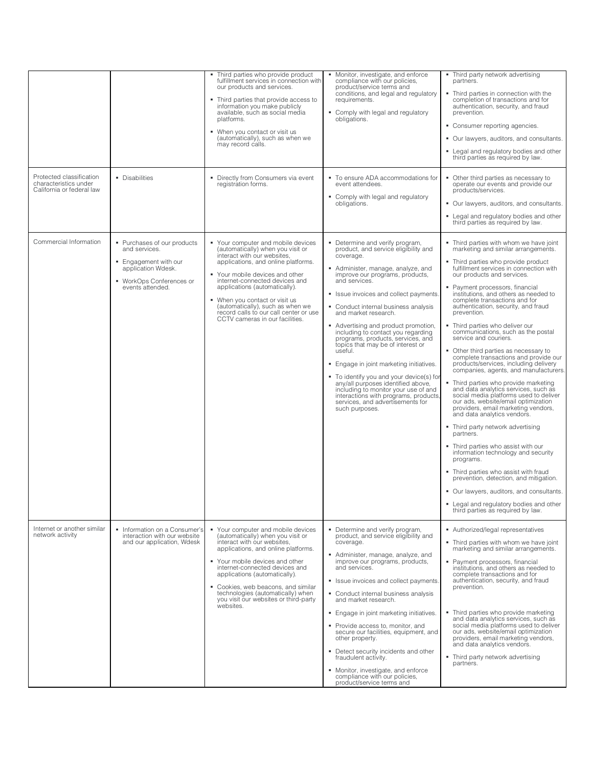| Protected classification                           | • Disabilities                                                                                                                              | Third parties who provide product<br>fulfillment services in connection with<br>our products and services.<br>• Third parties that provide access to<br>information you make publicly<br>available, such as social media<br>platforms.<br>• When you contact or visit us<br>(automatically), such as when we<br>may record calls.<br>• Directly from Consumers via event                               | • Monitor, investigate, and enforce<br>compliance with our policies,<br>product/service terms and<br>conditions, and legal and regulatory<br>requirements.<br>• Comply with legal and regulatory<br>obligations.<br>• To ensure ADA accommodations for                                                                                                                                                                                                                                                                                                                                                                                                                                                                          | • Third party network advertising<br>partners.<br>• Third parties in connection with the<br>completion of transactions and for<br>authentication, security, and fraud<br>prevention.<br>• Consumer reporting agencies.<br>• Our lawyers, auditors, and consultants.<br>• Legal and regulatory bodies and other<br>third parties as required by law.<br>• Other third parties as necessary to                                                                                                                                                                                                                                                                                                                                                                                                                                                                                                                                                                                                                                                                                                                                                                                                                                                 |
|----------------------------------------------------|---------------------------------------------------------------------------------------------------------------------------------------------|--------------------------------------------------------------------------------------------------------------------------------------------------------------------------------------------------------------------------------------------------------------------------------------------------------------------------------------------------------------------------------------------------------|---------------------------------------------------------------------------------------------------------------------------------------------------------------------------------------------------------------------------------------------------------------------------------------------------------------------------------------------------------------------------------------------------------------------------------------------------------------------------------------------------------------------------------------------------------------------------------------------------------------------------------------------------------------------------------------------------------------------------------|----------------------------------------------------------------------------------------------------------------------------------------------------------------------------------------------------------------------------------------------------------------------------------------------------------------------------------------------------------------------------------------------------------------------------------------------------------------------------------------------------------------------------------------------------------------------------------------------------------------------------------------------------------------------------------------------------------------------------------------------------------------------------------------------------------------------------------------------------------------------------------------------------------------------------------------------------------------------------------------------------------------------------------------------------------------------------------------------------------------------------------------------------------------------------------------------------------------------------------------------|
| characteristics under<br>California or federal law |                                                                                                                                             | registration forms.                                                                                                                                                                                                                                                                                                                                                                                    | event attendees.<br>• Comply with legal and regulatory<br>obligations.                                                                                                                                                                                                                                                                                                                                                                                                                                                                                                                                                                                                                                                          | operate our events and provide our<br>products/services.<br>• Our lawyers, auditors, and consultants.<br>• Legal and regulatory bodies and other<br>third parties as required by law.                                                                                                                                                                                                                                                                                                                                                                                                                                                                                                                                                                                                                                                                                                                                                                                                                                                                                                                                                                                                                                                        |
| Commercial Information                             | • Purchases of our products<br>and services.<br>• Engagement with our<br>application Wdesk.<br>• WorkOps Conferences or<br>events attended. | • Your computer and mobile devices<br>(automatically) when you visit or<br>interact with our websites,<br>applications, and online platforms.<br>• Your mobile devices and other<br>internet-connected devices and<br>applications (automatically).<br>• When you contact or visit us<br>(automatically), such as when we<br>record calls to our call center or use<br>CCTV cameras in our facilities. | • Determine and verify program,<br>product, and service eligibility and<br>coverage.<br>• Administer, manage, analyze, and<br>improve our programs, products,<br>and services.<br>• Issue invoices and collect payments.<br>• Conduct internal business analysis<br>and market research.<br>• Advertising and product promotion,<br>including to contact you regarding<br>programs, products, services, and<br>topics that may be of interest or<br>useful.<br>• Engage in joint marketing initiatives.<br>• To identify you and your device(s) for<br>any/all purposes identified above,<br>including to monitor your use of and<br>interactions with programs, products<br>services, and advertisements for<br>such purposes. | . Third parties with whom we have joint<br>marketing and similar arrangements.<br>• Third parties who provide product<br>fulfillment services in connection with<br>our products and services.<br>• Payment processors, financial<br>institutions, and others as needed to<br>complete transactions and for<br>authentication, security, and fraud<br>prevention.<br>. Third parties who deliver our<br>communications, such as the postal<br>service and couriers.<br>• Other third parties as necessary to<br>complete transactions and provide our<br>products/services, including delivery<br>companies, agents, and manufacturers.<br>• Third parties who provide marketing<br>and data analytics services, such as<br>social media platforms used to deliver<br>our ads, website/email optimization<br>providers, email marketing vendors,<br>and data analytics vendors.<br>• Third party network advertising<br>partners.<br>• Third parties who assist with our<br>information technology and security<br>programs.<br>• Third parties who assist with fraud<br>prevention, detection, and mitigation.<br>• Our lawyers, auditors, and consultants.<br>• Legal and regulatory bodies and other<br>third parties as required by law. |
| Internet or another similar<br>network activity    | • Information on a Consumer's<br>interaction with our website<br>and our application, Wdesk                                                 | • Your computer and mobile devices<br>(automatically) when you visit or<br>interact with our websites,<br>applications, and online platforms.<br>• Your mobile devices and other<br>internet-connected devices and<br>applications (automatically).<br>• Cookies, web beacons, and similar<br>technologies (automatically) when<br>you visit our websites or third-party<br>websites.                  | • Determine and verify program,<br>product, and service eligibility and<br>coverage.<br>Administer, manage, analyze, and<br>improve our programs, products,<br>and services.<br>" Issue invoices and collect payments.<br>• Conduct internal business analysis<br>and market research.<br>• Engage in joint marketing initiatives.<br>Provide access to, monitor, and<br>secure our facilities, equipment, and<br>other property.<br>• Detect security incidents and other<br>fraudulent activity.<br>• Monitor, investigate, and enforce<br>compliance with our policies,<br>product/service terms and                                                                                                                         | Authorized/legal representatives<br>• Third parties with whom we have joint<br>marketing and similar arrangements.<br>• Payment processors, financial<br>institutions, and others as needed to<br>complete transactions and for<br>authentication, security, and fraud<br>prevention.<br>• Third parties who provide marketing<br>and data analytics services, such as<br>social media platforms used to deliver<br>our ads, website/email optimization<br>providers, email marketing vendors,<br>and data analytics vendors.<br>• Third party network advertising<br>partners.                                                                                                                                                                                                                                                                                                                                                                                                                                                                                                                                                                                                                                                              |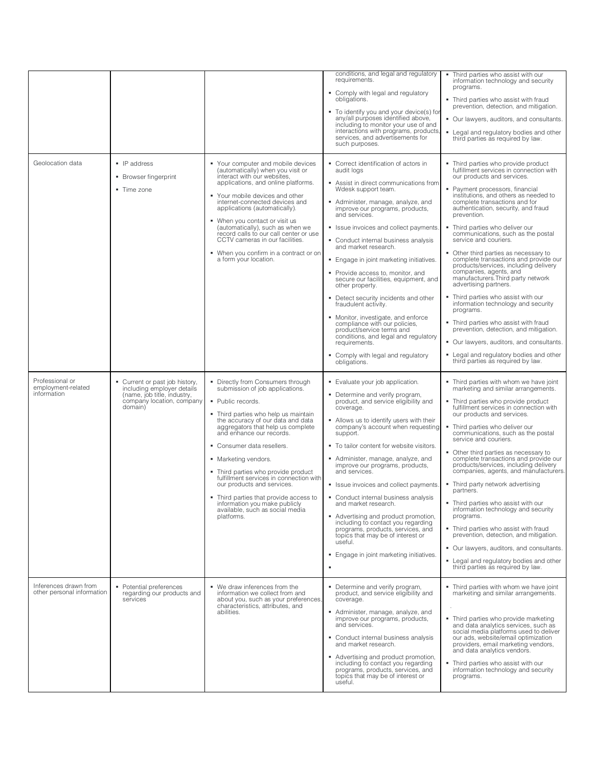|                                                      |                                                                                                                                     |                                                                                                                                                                                                                                                                                                                                                                                                                                                                                                                                           | conditions, and legal and regulatory<br>requirements.<br>• Comply with legal and regulatory<br>obligations.<br>• To identify you and your device(s) for<br>any/all purposes identified above,<br>including to monitor your use of and<br>interactions with programs, products,<br>services, and advertisements for<br>such purposes.                                                                                                                                                                                                                                                                                                                                                                                                               | • Third parties who assist with our<br>information technology and security<br>programs.<br>• Third parties who assist with fraud<br>prevention, detection, and mitigation.<br>• Our lawyers, auditors, and consultants.<br>• Legal and regulatory bodies and other<br>third parties as required by law.                                                                                                                                                                                                                                                                                                                                                                                                                                                                                                                                                                                                          |
|------------------------------------------------------|-------------------------------------------------------------------------------------------------------------------------------------|-------------------------------------------------------------------------------------------------------------------------------------------------------------------------------------------------------------------------------------------------------------------------------------------------------------------------------------------------------------------------------------------------------------------------------------------------------------------------------------------------------------------------------------------|----------------------------------------------------------------------------------------------------------------------------------------------------------------------------------------------------------------------------------------------------------------------------------------------------------------------------------------------------------------------------------------------------------------------------------------------------------------------------------------------------------------------------------------------------------------------------------------------------------------------------------------------------------------------------------------------------------------------------------------------------|------------------------------------------------------------------------------------------------------------------------------------------------------------------------------------------------------------------------------------------------------------------------------------------------------------------------------------------------------------------------------------------------------------------------------------------------------------------------------------------------------------------------------------------------------------------------------------------------------------------------------------------------------------------------------------------------------------------------------------------------------------------------------------------------------------------------------------------------------------------------------------------------------------------|
| Geolocation data                                     | $\blacksquare$ IP address<br>• Browser fingerprint<br>• Time zone                                                                   | • Your computer and mobile devices<br>(automatically) when you visit or<br>interact with our websites,<br>applications, and online platforms.<br>• Your mobile devices and other<br>internet-connected devices and<br>applications (automatically).<br>• When you contact or visit us<br>(automatically), such as when we<br>record calls to our call center or use<br>CCTV cameras in our facilities.<br>• When you confirm in a contract or on<br>a form your location.                                                                 | • Correct identification of actors in<br>audit logs<br>Assist in direct communications from<br>Wdesk support team.<br>Administer, manage, analyze, and<br>improve our programs, products,<br>and services.<br>• Issue invoices and collect payments.<br>• Conduct internal business analysis<br>and market research.<br>• Engage in joint marketing initiatives.<br>• Provide access to, monitor, and<br>secure our facilities, equipment, and<br>other property.<br>Detect security incidents and other<br>fraudulent activity.<br>• Monitor, investigate, and enforce<br>compliance with our policies,<br>product/service terms and<br>conditions, and legal and regulatory<br>requirements.<br>Comply with legal and regulatory<br>obligations. | • Third parties who provide product<br>fulfillment services in connection with<br>our products and services.<br>• Payment processors, financial<br>institutions, and others as needed to<br>complete transactions and for<br>authentication, security, and fraud<br>prevention.<br>• Third parties who deliver our<br>communications, such as the postal<br>service and couriers.<br>• Other third parties as necessary to<br>complete transactions and provide our<br>products/services, including delivery<br>companies, agents, and<br>manufacturers. Third party network<br>advertising partners.<br>• Third parties who assist with our<br>information technology and security<br>programs.<br>• Third parties who assist with fraud<br>prevention, detection, and mitigation.<br>• Our lawyers, auditors, and consultants.<br>• Legal and regulatory bodies and other<br>third parties as required by law. |
| Professional or<br>employment-related<br>information | • Current or past job history,<br>including employer details<br>(name, job title, industry,<br>company location, company<br>domain) | • Directly from Consumers through<br>submission of job applications.<br>• Public records.<br>. Third parties who help us maintain<br>the accuracy of our data and data<br>aggregators that help us complete<br>and enhance our records.<br>• Consumer data resellers.<br>• Marketing vendors.<br>• Third parties who provide product<br>fulfillment services in connection with<br>our products and services.<br>• Third parties that provide access to<br>information you make publicly<br>available, such as social media<br>platforms. | • Evaluate your job application.<br>• Determine and verify program,<br>product, and service eligibility and<br>coverage.<br>Allows us to identify users with their<br>company's account when requesting<br>support.<br>• To tailor content for website visitors.<br>Administer, manage, analyze, and<br>improve our programs, products,<br>and services.<br>• Issue invoices and collect payments.<br>• Conduct internal business analysis<br>and market research.<br>• Advertising and product promotion,<br>including to contact you regarding<br>programs, products, services, and<br>topics that may be of interest or<br>useful.<br>• Engage in joint marketing initiatives.                                                                  | • Third parties with whom we have joint<br>marketing and similar arrangements.<br>• Third parties who provide product<br>fulfillment services in connection with<br>our products and services.<br>• Third parties who deliver our<br>communications, such as the postal<br>service and couriers.<br>• Other third parties as necessary to<br>complete transactions and provide our<br>products/services, including delivery<br>companies, agents, and manufacturers.<br>• Third party network advertising<br>partners.<br>• Third parties who assist with our<br>information technology and security<br>programs.<br>• Third parties who assist with fraud<br>prevention, detection, and mitigation.<br>• Our lawyers, auditors, and consultants.<br>• Legal and regulatory bodies and other<br>third parties as required by law.                                                                                |
| Inferences drawn from<br>other personal information  | • Potential preferences<br>regarding our products and<br>services                                                                   | • We draw inferences from the<br>information we collect from and<br>about you, such as your preferences,<br>characteristics, attributes, and<br>abilities.                                                                                                                                                                                                                                                                                                                                                                                | • Determine and verify program,<br>product, and service eligibility and<br>coverage.<br>Administer, manage, analyze, and<br>improve our programs, products,<br>and services.<br>• Conduct internal business analysis<br>and market research.<br>• Advertising and product promotion,<br>including to contact you regarding<br>programs, products, services, and<br>topics that may be of interest or<br>useful.                                                                                                                                                                                                                                                                                                                                    | . Third parties with whom we have joint<br>marketing and similar arrangements.<br>• Third parties who provide marketing<br>and data analytics services, such as<br>social media platforms used to deliver<br>our ads, website/email optimization<br>providers, email marketing vendors,<br>and data analytics vendors.<br>• Third parties who assist with our<br>information technology and security<br>programs.                                                                                                                                                                                                                                                                                                                                                                                                                                                                                                |